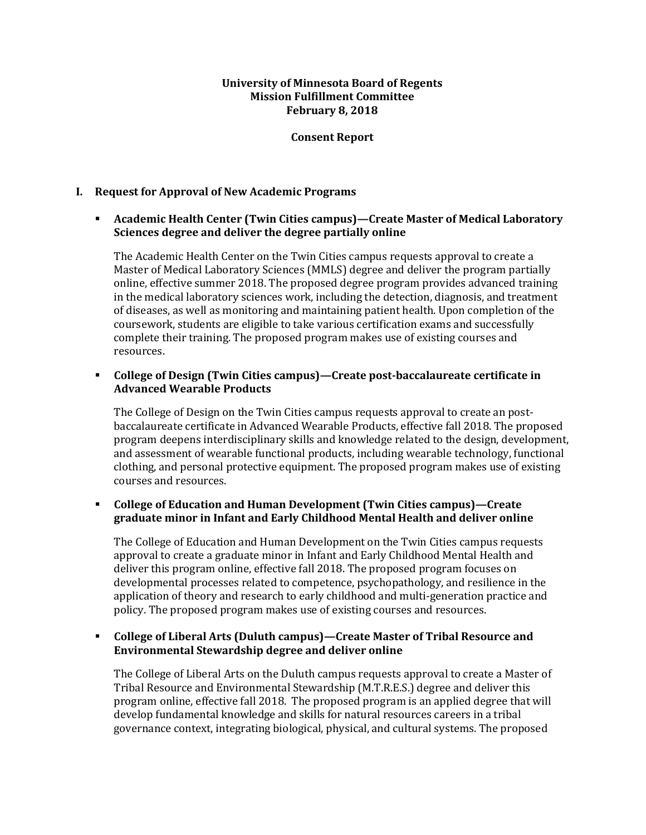### **University of Minnesota Board of Regents Mission Fulfillment Committee February 8, 2018**

#### **Consent Report**

## **I. Request for Approval of New Academic Programs**

## **Academic Health Center (Twin Cities campus)—Create Master of Medical Laboratory Sciences degree and deliver the degree partially online**

The Academic Health Center on the Twin Cities campus requests approval to create a Master of Medical Laboratory Sciences (MMLS) degree and deliver the program partially online, effective summer 2018. The proposed degree program provides advanced training in the medical laboratory sciences work, including the detection, diagnosis, and treatment of diseases, as well as monitoring and maintaining patient health. Upon completion of the coursework, students are eligible to take various certification exams and successfully complete their training. The proposed program makes use of existing courses and resources.

#### **College of Design (Twin Cities campus)—Create post-baccalaureate certificate in Advanced Wearable Products**

The College of Design on the Twin Cities campus requests approval to create an postbaccalaureate certificate in Advanced Wearable Products, effective fall 2018. The proposed program deepens interdisciplinary skills and knowledge related to the design, development, and assessment of wearable functional products, including wearable technology, functional clothing, and personal protective equipment. The proposed program makes use of existing courses and resources.

## **College of Education and Human Development (Twin Cities campus)—Create graduate minor in Infant and Early Childhood Mental Health and deliver online**

The College of Education and Human Development on the Twin Cities campus requests approval to create a graduate minor in Infant and Early Childhood Mental Health and deliver this program online, effective fall 2018. The proposed program focuses on developmental processes related to competence, psychopathology, and resilience in the application of theory and research to early childhood and multi-generation practice and policy. The proposed program makes use of existing courses and resources.

# **College of Liberal Arts (Duluth campus)—Create Master of Tribal Resource and Environmental Stewardship degree and deliver online**

The College of Liberal Arts on the Duluth campus requests approval to create a Master of Tribal Resource and Environmental Stewardship (M.T.R.E.S.) degree and deliver this program online, effective fall 2018. The proposed program is an applied degree that will develop fundamental knowledge and skills for natural resources careers in a tribal governance context, integrating biological, physical, and cultural systems. The proposed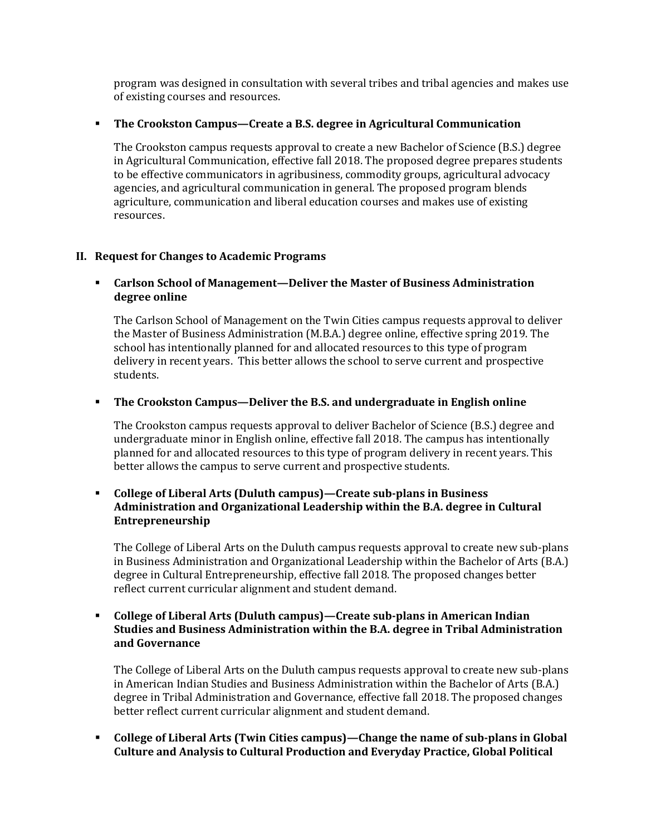program was designed in consultation with several tribes and tribal agencies and makes use of existing courses and resources.

#### **The Crookston Campus—Create a B.S. degree in Agricultural Communication**

The Crookston campus requests approval to create a new Bachelor of Science (B.S.) degree in Agricultural Communication, effective fall 2018. The proposed degree prepares students to be effective communicators in agribusiness, commodity groups, agricultural advocacy agencies, and agricultural communication in general. The proposed program blends agriculture, communication and liberal education courses and makes use of existing resources.

## **II. Request for Changes to Academic Programs**

# **Carlson School of Management—Deliver the Master of Business Administration degree online**

The Carlson School of Management on the Twin Cities campus requests approval to deliver the Master of Business Administration (M.B.A.) degree online, effective spring 2019. The school has intentionally planned for and allocated resources to this type of program delivery in recent years. This better allows the school to serve current and prospective students.

## **The Crookston Campus—Deliver the B.S. and undergraduate in English online**

The Crookston campus requests approval to deliver Bachelor of Science (B.S.) degree and undergraduate minor in English online, effective fall 2018. The campus has intentionally planned for and allocated resources to this type of program delivery in recent years. This better allows the campus to serve current and prospective students.

# **College of Liberal Arts (Duluth campus)—Create sub-plans in Business Administration and Organizational Leadership within the B.A. degree in Cultural Entrepreneurship**

The College of Liberal Arts on the Duluth campus requests approval to create new sub-plans in Business Administration and Organizational Leadership within the Bachelor of Arts (B.A.) degree in Cultural Entrepreneurship, effective fall 2018. The proposed changes better reflect current curricular alignment and student demand.

# **College of Liberal Arts (Duluth campus)—Create sub-plans in American Indian Studies and Business Administration within the B.A. degree in Tribal Administration and Governance**

The College of Liberal Arts on the Duluth campus requests approval to create new sub-plans in American Indian Studies and Business Administration within the Bachelor of Arts (B.A.) degree in Tribal Administration and Governance, effective fall 2018. The proposed changes better reflect current curricular alignment and student demand.

 **College of Liberal Arts (Twin Cities campus)—Change the name of sub-plans in Global Culture and Analysis to Cultural Production and Everyday Practice, Global Political**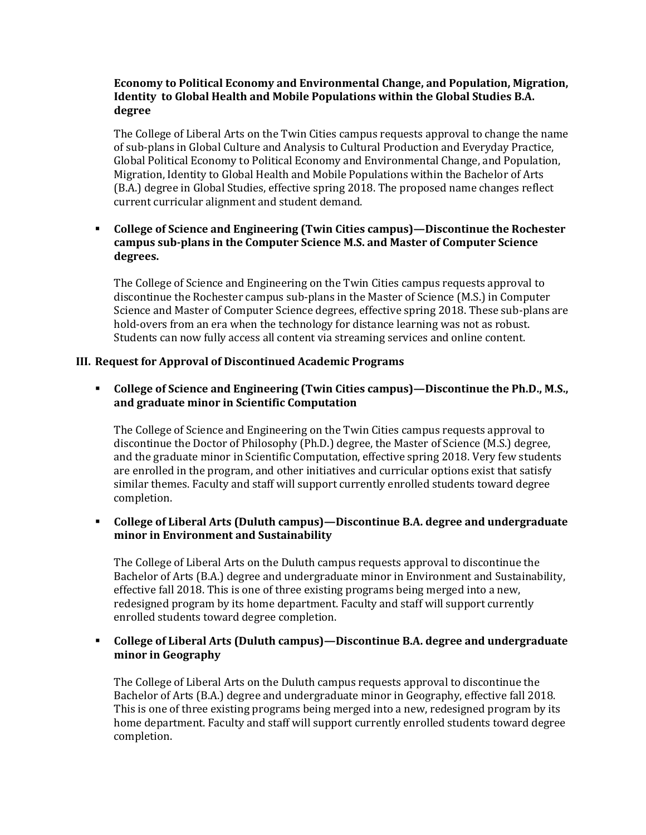## **Economy to Political Economy and Environmental Change, and Population, Migration, Identity to Global Health and Mobile Populations within the Global Studies B.A. degree**

The College of Liberal Arts on the Twin Cities campus requests approval to change the name of sub-plans in Global Culture and Analysis to Cultural Production and Everyday Practice, Global Political Economy to Political Economy and Environmental Change, and Population, Migration, Identity to Global Health and Mobile Populations within the Bachelor of Arts (B.A.) degree in Global Studies, effective spring 2018. The proposed name changes reflect current curricular alignment and student demand.

# **College of Science and Engineering (Twin Cities campus)—Discontinue the Rochester campus sub-plans in the Computer Science M.S. and Master of Computer Science degrees.**

The College of Science and Engineering on the Twin Cities campus requests approval to discontinue the Rochester campus sub-plans in the Master of Science (M.S.) in Computer Science and Master of Computer Science degrees, effective spring 2018. These sub-plans are hold-overs from an era when the technology for distance learning was not as robust. Students can now fully access all content via streaming services and online content.

# **III. Request for Approval of Discontinued Academic Programs**

# **College of Science and Engineering (Twin Cities campus)—Discontinue the Ph.D., M.S., and graduate minor in Scientific Computation**

The College of Science and Engineering on the Twin Cities campus requests approval to discontinue the Doctor of Philosophy (Ph.D.) degree, the Master of Science (M.S.) degree, and the graduate minor in Scientific Computation, effective spring 2018. Very few students are enrolled in the program, and other initiatives and curricular options exist that satisfy similar themes. Faculty and staff will support currently enrolled students toward degree completion.

# **College of Liberal Arts (Duluth campus)—Discontinue B.A. degree and undergraduate minor in Environment and Sustainability**

The College of Liberal Arts on the Duluth campus requests approval to discontinue the Bachelor of Arts (B.A.) degree and undergraduate minor in Environment and Sustainability, effective fall 2018. This is one of three existing programs being merged into a new, redesigned program by its home department. Faculty and staff will support currently enrolled students toward degree completion.

# **College of Liberal Arts (Duluth campus)—Discontinue B.A. degree and undergraduate minor in Geography**

The College of Liberal Arts on the Duluth campus requests approval to discontinue the Bachelor of Arts (B.A.) degree and undergraduate minor in Geography, effective fall 2018. This is one of three existing programs being merged into a new, redesigned program by its home department. Faculty and staff will support currently enrolled students toward degree completion.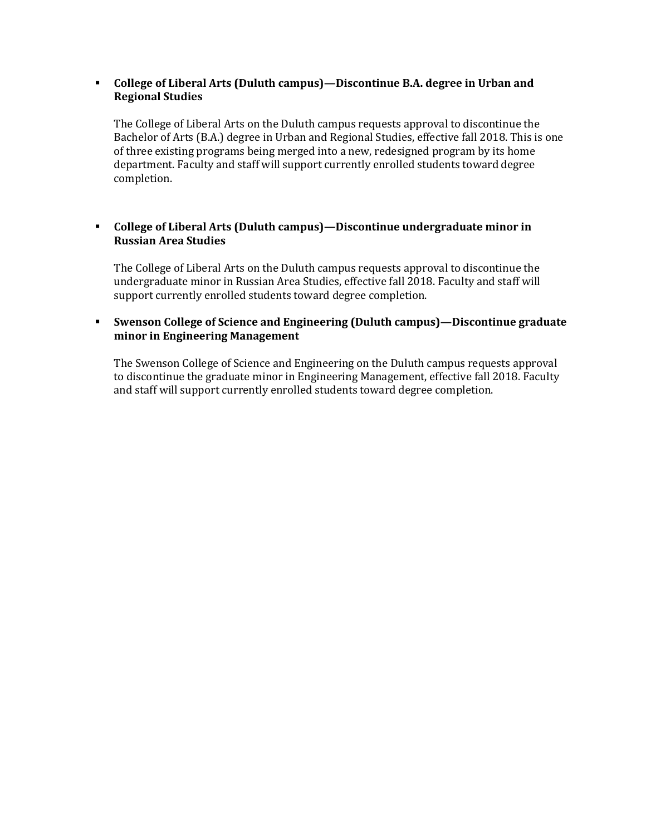### **College of Liberal Arts (Duluth campus)—Discontinue B.A. degree in Urban and Regional Studies**

The College of Liberal Arts on the Duluth campus requests approval to discontinue the Bachelor of Arts (B.A.) degree in Urban and Regional Studies, effective fall 2018. This is one of three existing programs being merged into a new, redesigned program by its home department. Faculty and staff will support currently enrolled students toward degree completion.

# **College of Liberal Arts (Duluth campus)—Discontinue undergraduate minor in Russian Area Studies**

The College of Liberal Arts on the Duluth campus requests approval to discontinue the undergraduate minor in Russian Area Studies, effective fall 2018. Faculty and staff will support currently enrolled students toward degree completion.

# **Swenson College of Science and Engineering (Duluth campus)—Discontinue graduate minor in Engineering Management**

The Swenson College of Science and Engineering on the Duluth campus requests approval to discontinue the graduate minor in Engineering Management, effective fall 2018. Faculty and staff will support currently enrolled students toward degree completion.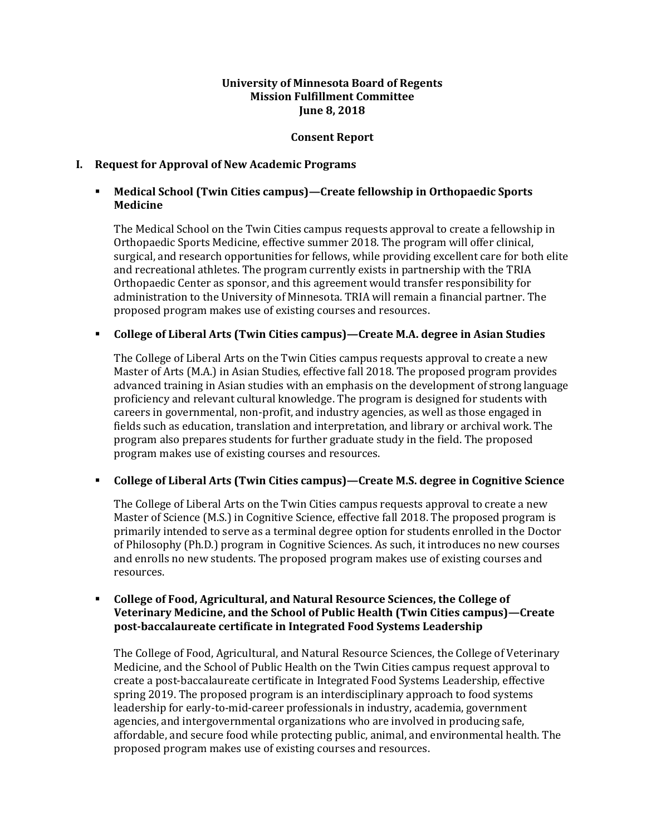### **University of Minnesota Board of Regents Mission Fulfillment Committee June 8, 2018**

#### **Consent Report**

## **I. Request for Approval of New Academic Programs**

# **Medical School (Twin Cities campus)—Create fellowship in Orthopaedic Sports Medicine**

The Medical School on the Twin Cities campus requests approval to create a fellowship in Orthopaedic Sports Medicine, effective summer 2018. The program will offer clinical, surgical, and research opportunities for fellows, while providing excellent care for both elite and recreational athletes. The program currently exists in partnership with the TRIA Orthopaedic Center as sponsor, and this agreement would transfer responsibility for administration to the University of Minnesota. TRIA will remain a financial partner. The proposed program makes use of existing courses and resources.

## **College of Liberal Arts (Twin Cities campus)—Create M.A. degree in Asian Studies**

The College of Liberal Arts on the Twin Cities campus requests approval to create a new Master of Arts (M.A.) in Asian Studies, effective fall 2018. The proposed program provides advanced training in Asian studies with an emphasis on the development of strong language proficiency and relevant cultural knowledge. The program is designed for students with careers in governmental, non-profit, and industry agencies, as well as those engaged in fields such as education, translation and interpretation, and library or archival work. The program also prepares students for further graduate study in the field. The proposed program makes use of existing courses and resources.

# **College of Liberal Arts (Twin Cities campus)—Create M.S. degree in Cognitive Science**

The College of Liberal Arts on the Twin Cities campus requests approval to create a new Master of Science (M.S.) in Cognitive Science, effective fall 2018. The proposed program is primarily intended to serve as a terminal degree option for students enrolled in the Doctor of Philosophy (Ph.D.) program in Cognitive Sciences. As such, it introduces no new courses and enrolls no new students. The proposed program makes use of existing courses and resources.

### **College of Food, Agricultural, and Natural Resource Sciences, the College of Veterinary Medicine, and the School of Public Health (Twin Cities campus)—Create post-baccalaureate certificate in Integrated Food Systems Leadership**

The College of Food, Agricultural, and Natural Resource Sciences, the College of Veterinary Medicine, and the School of Public Health on the Twin Cities campus request approval to create a post-baccalaureate certificate in Integrated Food Systems Leadership, effective spring 2019. The proposed program is an interdisciplinary approach to food systems leadership for early-to-mid-career professionals in industry, academia, government agencies, and intergovernmental organizations who are involved in producing safe, affordable, and secure food while protecting public, animal, and environmental health. The proposed program makes use of existing courses and resources.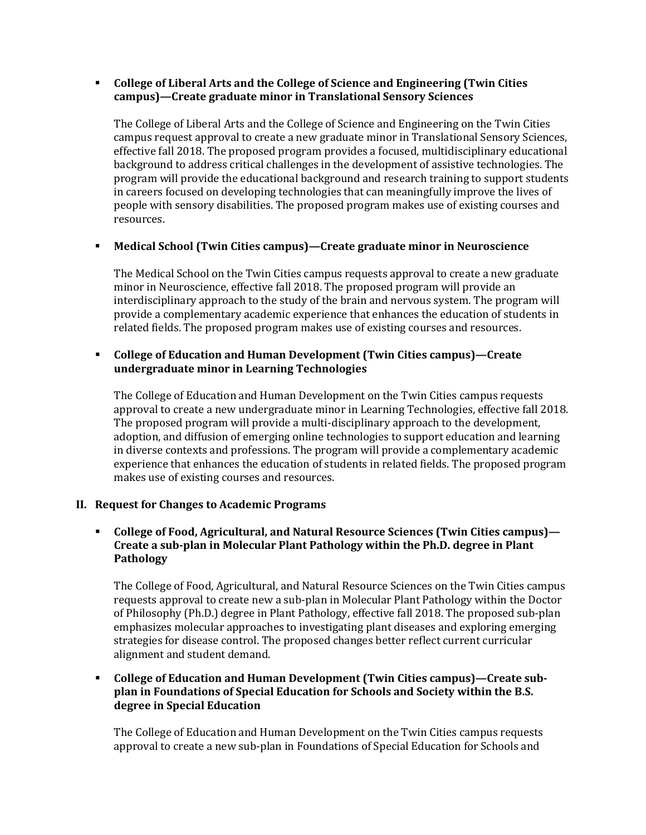# **College of Liberal Arts and the College of Science and Engineering (Twin Cities campus)—Create graduate minor in Translational Sensory Sciences**

The College of Liberal Arts and the College of Science and Engineering on the Twin Cities campus request approval to create a new graduate minor in Translational Sensory Sciences, effective fall 2018. The proposed program provides a focused, multidisciplinary educational background to address critical challenges in the development of assistive technologies. The program will provide the educational background and research training to support students in careers focused on developing technologies that can meaningfully improve the lives of people with sensory disabilities. The proposed program makes use of existing courses and resources.

# **Medical School (Twin Cities campus)—Create graduate minor in Neuroscience**

The Medical School on the Twin Cities campus requests approval to create a new graduate minor in Neuroscience, effective fall 2018. The proposed program will provide an interdisciplinary approach to the study of the brain and nervous system. The program will provide a complementary academic experience that enhances the education of students in related fields. The proposed program makes use of existing courses and resources.

# **College of Education and Human Development (Twin Cities campus)—Create undergraduate minor in Learning Technologies**

The College of Education and Human Development on the Twin Cities campus requests approval to create a new undergraduate minor in Learning Technologies, effective fall 2018. The proposed program will provide a multi-disciplinary approach to the development, adoption, and diffusion of emerging online technologies to support education and learning in diverse contexts and professions. The program will provide a complementary academic experience that enhances the education of students in related fields. The proposed program makes use of existing courses and resources.

# **II. Request for Changes to Academic Programs**

# **College of Food, Agricultural, and Natural Resource Sciences (Twin Cities campus)— Create a sub-plan in Molecular Plant Pathology within the Ph.D. degree in Plant Pathology**

The College of Food, Agricultural, and Natural Resource Sciences on the Twin Cities campus requests approval to create new a sub-plan in Molecular Plant Pathology within the Doctor of Philosophy (Ph.D.) degree in Plant Pathology, effective fall 2018. The proposed sub-plan emphasizes molecular approaches to investigating plant diseases and exploring emerging strategies for disease control. The proposed changes better reflect current curricular alignment and student demand.

# **College of Education and Human Development (Twin Cities campus)—Create subplan in Foundations of Special Education for Schools and Society within the B.S. degree in Special Education**

The College of Education and Human Development on the Twin Cities campus requests approval to create a new sub-plan in Foundations of Special Education for Schools and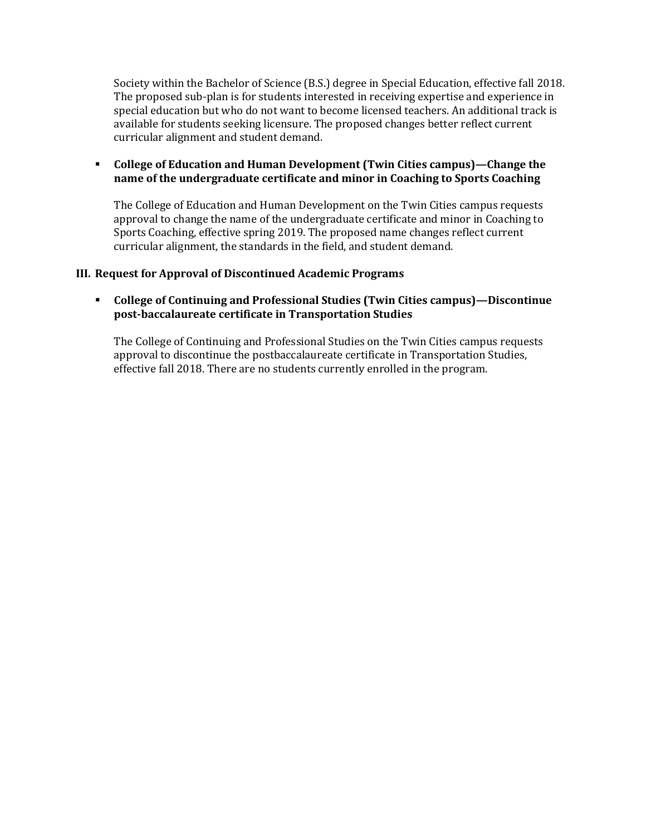Society within the Bachelor of Science (B.S.) degree in Special Education, effective fall 2018. The proposed sub-plan is for students interested in receiving expertise and experience in special education but who do not want to become licensed teachers. An additional track is available for students seeking licensure. The proposed changes better reflect current curricular alignment and student demand.

# **College of Education and Human Development (Twin Cities campus)—Change the name of the undergraduate certificate and minor in Coaching to Sports Coaching**

The College of Education and Human Development on the Twin Cities campus requests approval to change the name of the undergraduate certificate and minor in Coaching to Sports Coaching, effective spring 2019. The proposed name changes reflect current curricular alignment, the standards in the field, and student demand.

## **III. Request for Approval of Discontinued Academic Programs**

# **College of Continuing and Professional Studies (Twin Cities campus)—Discontinue post-baccalaureate certificate in Transportation Studies**

The College of Continuing and Professional Studies on the Twin Cities campus requests approval to discontinue the postbaccalaureate certificate in Transportation Studies, effective fall 2018. There are no students currently enrolled in the program.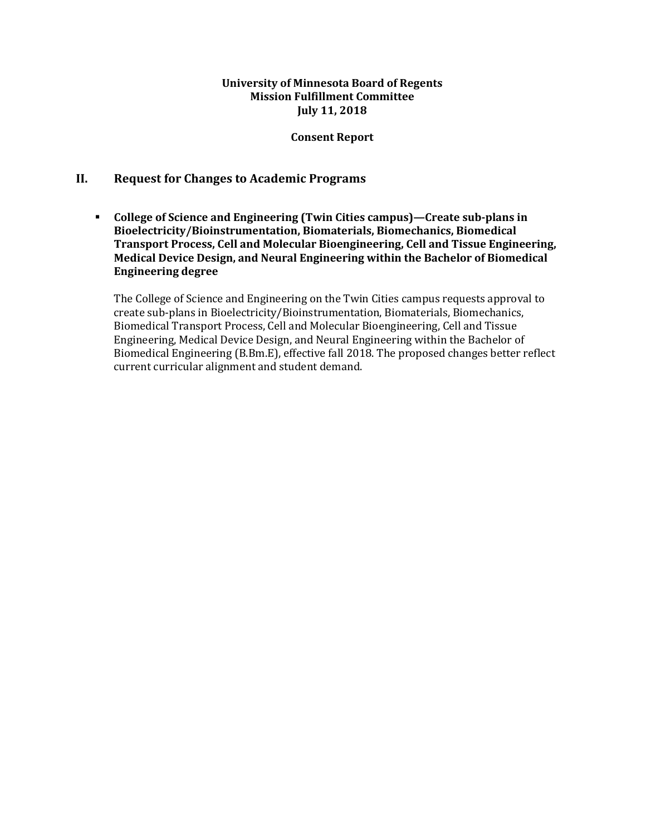#### **University of Minnesota Board of Regents Mission Fulfillment Committee July 11, 2018**

#### **Consent Report**

# **II. Request for Changes to Academic Programs**

 **College of Science and Engineering (Twin Cities campus)—Create sub-plans in Bioelectricity/Bioinstrumentation, Biomaterials, Biomechanics, Biomedical Transport Process, Cell and Molecular Bioengineering, Cell and Tissue Engineering, Medical Device Design, and Neural Engineering within the Bachelor of Biomedical Engineering degree**

The College of Science and Engineering on the Twin Cities campus requests approval to create sub-plans in Bioelectricity/Bioinstrumentation, Biomaterials, Biomechanics, Biomedical Transport Process, Cell and Molecular Bioengineering, Cell and Tissue Engineering, Medical Device Design, and Neural Engineering within the Bachelor of Biomedical Engineering (B.Bm.E), effective fall 2018. The proposed changes better reflect current curricular alignment and student demand.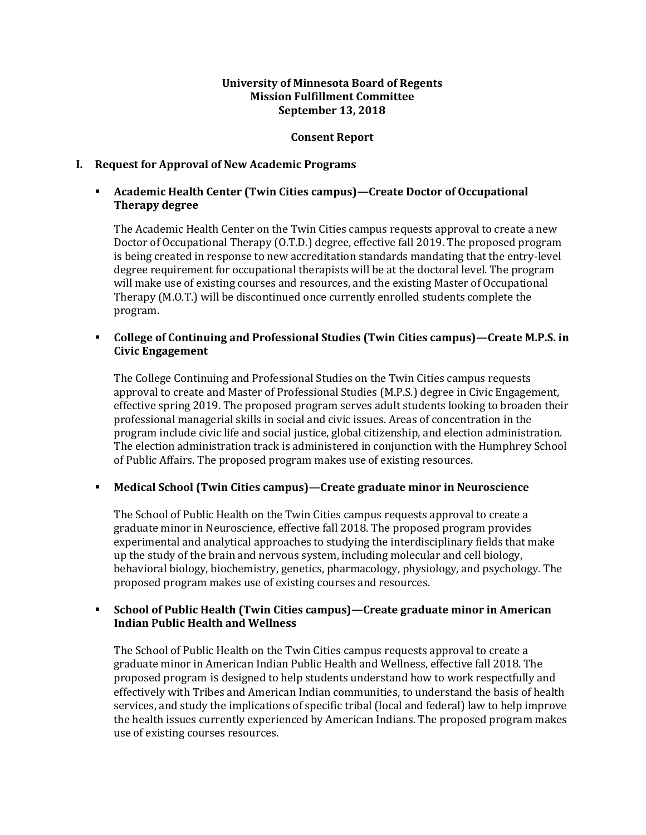## **University of Minnesota Board of Regents Mission Fulfillment Committee September 13, 2018**

#### **Consent Report**

## **I. Request for Approval of New Academic Programs**

# **Academic Health Center (Twin Cities campus)—Create Doctor of Occupational Therapy degree**

The Academic Health Center on the Twin Cities campus requests approval to create a new Doctor of Occupational Therapy (O.T.D.) degree, effective fall 2019. The proposed program is being created in response to new accreditation standards mandating that the entry-level degree requirement for occupational therapists will be at the doctoral level. The program will make use of existing courses and resources, and the existing Master of Occupational Therapy (M.O.T.) will be discontinued once currently enrolled students complete the program.

## **College of Continuing and Professional Studies (Twin Cities campus)—Create M.P.S. in Civic Engagement**

The College Continuing and Professional Studies on the Twin Cities campus requests approval to create and Master of Professional Studies (M.P.S.) degree in Civic Engagement, effective spring 2019. The proposed program serves adult students looking to broaden their professional managerial skills in social and civic issues. Areas of concentration in the program include civic life and social justice, global citizenship, and election administration. The election administration track is administered in conjunction with the Humphrey School of Public Affairs. The proposed program makes use of existing resources.

# **Medical School (Twin Cities campus)—Create graduate minor in Neuroscience**

The School of Public Health on the Twin Cities campus requests approval to create a graduate minor in Neuroscience, effective fall 2018. The proposed program provides experimental and analytical approaches to studying the interdisciplinary fields that make up the study of the brain and nervous system, including molecular and cell biology, behavioral biology, biochemistry, genetics, pharmacology, physiology, and psychology. The proposed program makes use of existing courses and resources.

## **School of Public Health (Twin Cities campus)—Create graduate minor in American Indian Public Health and Wellness**

The School of Public Health on the Twin Cities campus requests approval to create a graduate minor in American Indian Public Health and Wellness, effective fall 2018. The proposed program is designed to help students understand how to work respectfully and effectively with Tribes and American Indian communities, to understand the basis of health services, and study the implications of specific tribal (local and federal) law to help improve the health issues currently experienced by American Indians. The proposed program makes use of existing courses resources.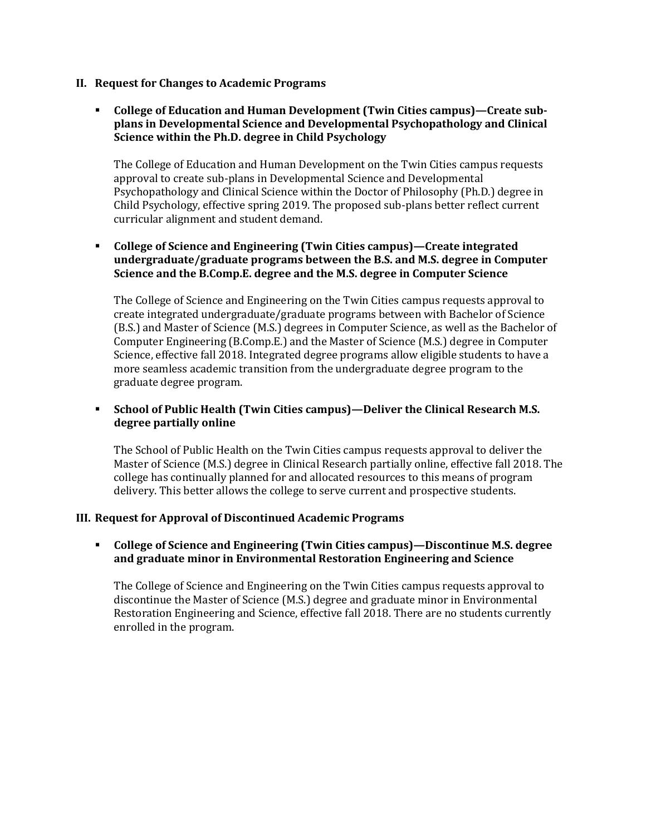- **II. Request for Changes to Academic Programs**
	- **College of Education and Human Development (Twin Cities campus)—Create subplans in Developmental Science and Developmental Psychopathology and Clinical Science within the Ph.D. degree in Child Psychology**

The College of Education and Human Development on the Twin Cities campus requests approval to create sub-plans in Developmental Science and Developmental Psychopathology and Clinical Science within the Doctor of Philosophy (Ph.D.) degree in Child Psychology, effective spring 2019. The proposed sub-plans better reflect current curricular alignment and student demand.

 **College of Science and Engineering (Twin Cities campus)—Create integrated undergraduate/graduate programs between the B.S. and M.S. degree in Computer Science and the B.Comp.E. degree and the M.S. degree in Computer Science** 

The College of Science and Engineering on the Twin Cities campus requests approval to create integrated undergraduate/graduate programs between with Bachelor of Science (B.S.) and Master of Science (M.S.) degrees in Computer Science, as well as the Bachelor of Computer Engineering (B.Comp.E.) and the Master of Science (M.S.) degree in Computer Science, effective fall 2018. Integrated degree programs allow eligible students to have a more seamless academic transition from the undergraduate degree program to the graduate degree program.

# **School of Public Health (Twin Cities campus)—Deliver the Clinical Research M.S. degree partially online**

The School of Public Health on the Twin Cities campus requests approval to deliver the Master of Science (M.S.) degree in Clinical Research partially online, effective fall 2018. The college has continually planned for and allocated resources to this means of program delivery. This better allows the college to serve current and prospective students.

# **III. Request for Approval of Discontinued Academic Programs**

 **College of Science and Engineering (Twin Cities campus)—Discontinue M.S. degree and graduate minor in Environmental Restoration Engineering and Science**

The College of Science and Engineering on the Twin Cities campus requests approval to discontinue the Master of Science (M.S.) degree and graduate minor in Environmental Restoration Engineering and Science, effective fall 2018. There are no students currently enrolled in the program.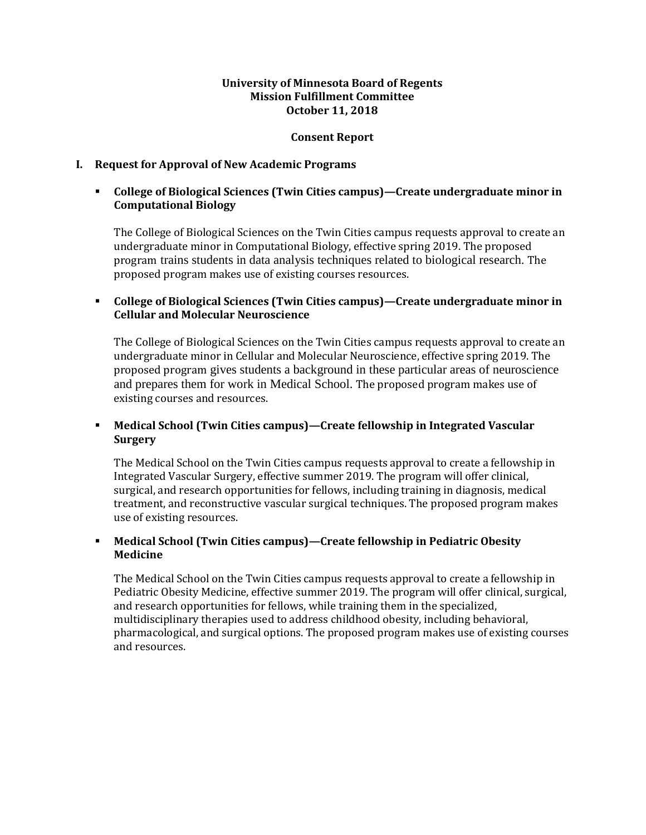## **University of Minnesota Board of Regents Mission Fulfillment Committee October 11, 2018**

#### **Consent Report**

## **I. Request for Approval of New Academic Programs**

# **College of Biological Sciences (Twin Cities campus)—Create undergraduate minor in Computational Biology**

The College of Biological Sciences on the Twin Cities campus requests approval to create an undergraduate minor in Computational Biology, effective spring 2019. The proposed program trains students in data analysis techniques related to biological research. The proposed program makes use of existing courses resources.

# **College of Biological Sciences (Twin Cities campus)—Create undergraduate minor in Cellular and Molecular Neuroscience**

The College of Biological Sciences on the Twin Cities campus requests approval to create an undergraduate minor in Cellular and Molecular Neuroscience, effective spring 2019. The proposed program gives students a background in these particular areas of neuroscience and prepares them for work in Medical School. The proposed program makes use of existing courses and resources.

# **Medical School (Twin Cities campus)—Create fellowship in Integrated Vascular Surgery**

The Medical School on the Twin Cities campus requests approval to create a fellowship in Integrated Vascular Surgery, effective summer 2019. The program will offer clinical, surgical, and research opportunities for fellows, including training in diagnosis, medical treatment, and reconstructive vascular surgical techniques. The proposed program makes use of existing resources.

# **Medical School (Twin Cities campus)—Create fellowship in Pediatric Obesity Medicine**

The Medical School on the Twin Cities campus requests approval to create a fellowship in Pediatric Obesity Medicine, effective summer 2019. The program will offer clinical, surgical, and research opportunities for fellows, while training them in the specialized, multidisciplinary therapies used to address childhood obesity, including behavioral, pharmacological, and surgical options. The proposed program makes use of existing courses and resources.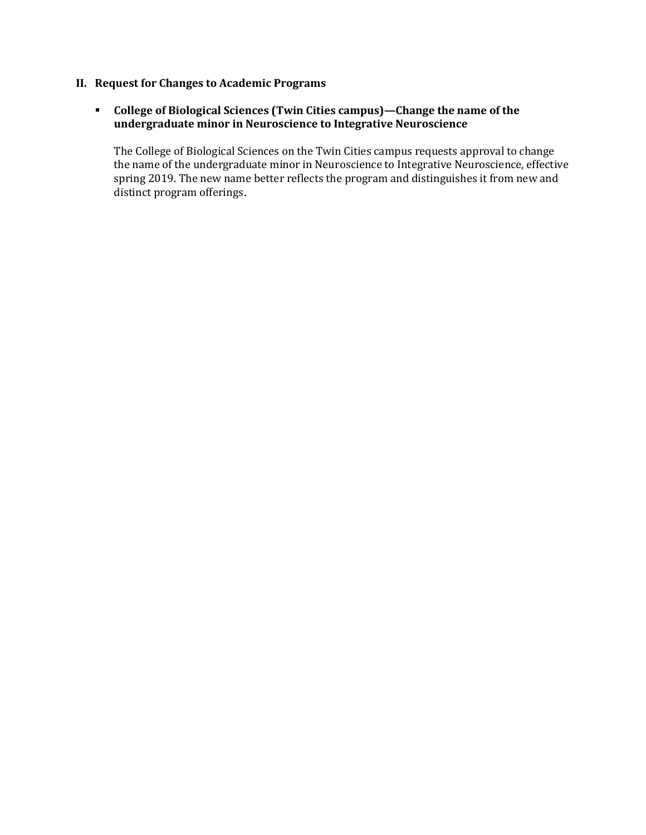# **II. Request for Changes to Academic Programs**

# **College of Biological Sciences (Twin Cities campus)—Change the name of the undergraduate minor in Neuroscience to Integrative Neuroscience**

The College of Biological Sciences on the Twin Cities campus requests approval to change the name of the undergraduate minor in Neuroscience to Integrative Neuroscience, effective spring 2019. The new name better reflects the program and distinguishes it from new and distinct program offerings.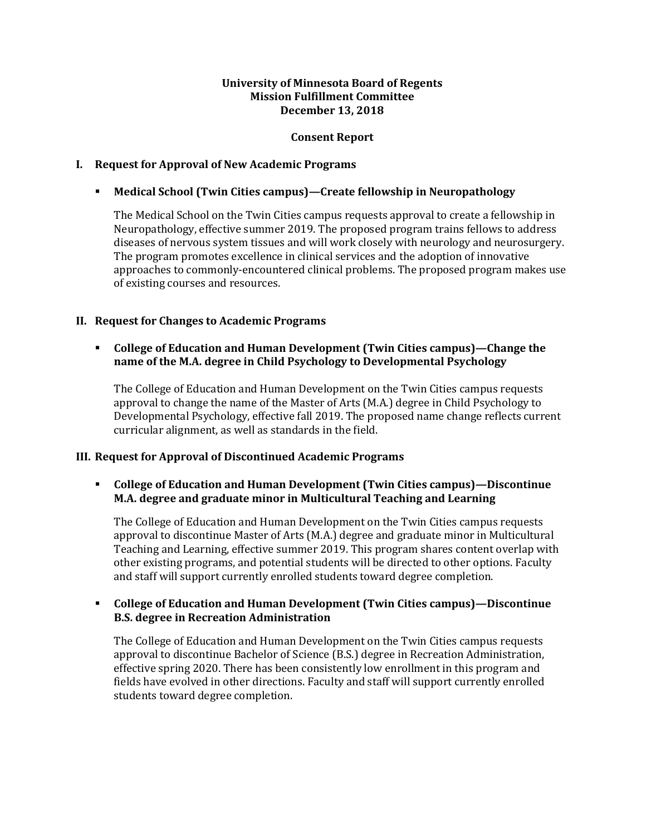## **University of Minnesota Board of Regents Mission Fulfillment Committee December 13, 2018**

## **Consent Report**

## **I. Request for Approval of New Academic Programs**

## **Medical School (Twin Cities campus)—Create fellowship in Neuropathology**

The Medical School on the Twin Cities campus requests approval to create a fellowship in Neuropathology, effective summer 2019. The proposed program trains fellows to address diseases of nervous system tissues and will work closely with neurology and neurosurgery. The program promotes excellence in clinical services and the adoption of innovative approaches to commonly-encountered clinical problems. The proposed program makes use of existing courses and resources.

## **II. Request for Changes to Academic Programs**

## **College of Education and Human Development (Twin Cities campus)—Change the name of the M.A. degree in Child Psychology to Developmental Psychology**

The College of Education and Human Development on the Twin Cities campus requests approval to change the name of the Master of Arts (M.A.) degree in Child Psychology to Developmental Psychology, effective fall 2019. The proposed name change reflects current curricular alignment, as well as standards in the field.

#### **III. Request for Approval of Discontinued Academic Programs**

## **College of Education and Human Development (Twin Cities campus)—Discontinue M.A. degree and graduate minor in Multicultural Teaching and Learning**

The College of Education and Human Development on the Twin Cities campus requests approval to discontinue Master of Arts (M.A.) degree and graduate minor in Multicultural Teaching and Learning, effective summer 2019. This program shares content overlap with other existing programs, and potential students will be directed to other options. Faculty and staff will support currently enrolled students toward degree completion.

## **College of Education and Human Development (Twin Cities campus)—Discontinue B.S. degree in Recreation Administration**

The College of Education and Human Development on the Twin Cities campus requests approval to discontinue Bachelor of Science (B.S.) degree in Recreation Administration, effective spring 2020. There has been consistently low enrollment in this program and fields have evolved in other directions. Faculty and staff will support currently enrolled students toward degree completion.